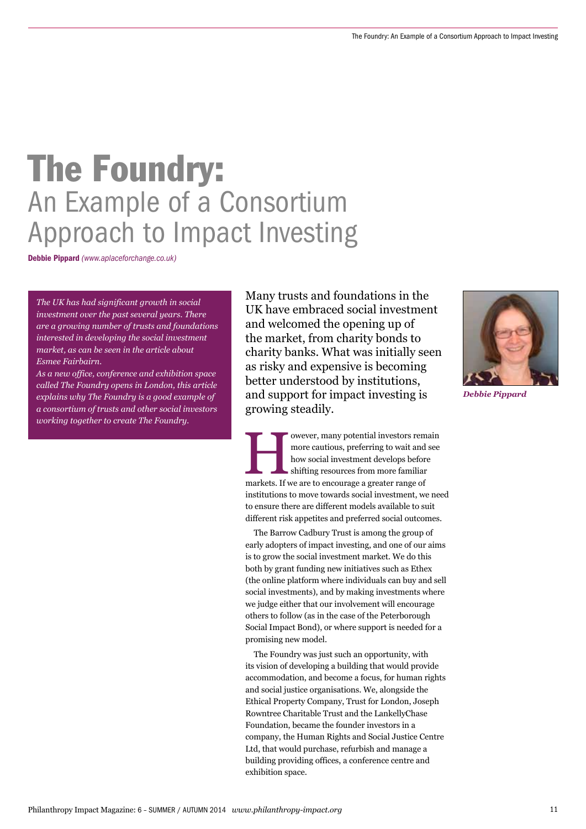# The Foundry: An Example of a Consortium Approach to Impact Investing

Debbie Pippard *(www.aplaceforchange.co.uk)* 

*The UK has had significant growth in social investment over the past several years. There are a growing number of trusts and foundations interested in developing the social investment market, as can be seen in the article about Esmee Fairbairn.*

*As a new office, conference and exhibition space called The Foundry opens in London, this article explains why The Foundry is a good example of a consortium of trusts and other social investors working together to create The Foundry.* 

Many trusts and foundations in the UK have embraced social investment and welcomed the opening up of the market, from charity bonds to charity banks. What was initially seen as risky and expensive is becoming better understood by institutions, and support for impact investing is growing steadily.



*Debbie Pippard*

more cautious, preferring to wait and see<br>how social investment develops before<br>shifting resources from more familiar<br>markets. If we are to encourage a greater range of more cautious, preferring to wait and see how social investment develops before shifting resources from more familiar institutions to move towards social investment, we need to ensure there are different models available to suit different risk appetites and preferred social outcomes.

The Barrow Cadbury Trust is among the group of early adopters of impact investing, and one of our aims is to grow the social investment market. We do this both by grant funding new initiatives such as Ethex (the online platform where individuals can buy and sell social investments), and by making investments where we judge either that our involvement will encourage others to follow (as in the case of the Peterborough Social Impact Bond), or where support is needed for a promising new model.

The Foundry was just such an opportunity, with its vision of developing a building that would provide accommodation, and become a focus, for human rights and social justice organisations. We, alongside the Ethical Property Company, Trust for London, Joseph Rowntree Charitable Trust and the LankellyChase Foundation, became the founder investors in a company, the Human Rights and Social Justice Centre Ltd, that would purchase, refurbish and manage a building providing offices, a conference centre and exhibition space.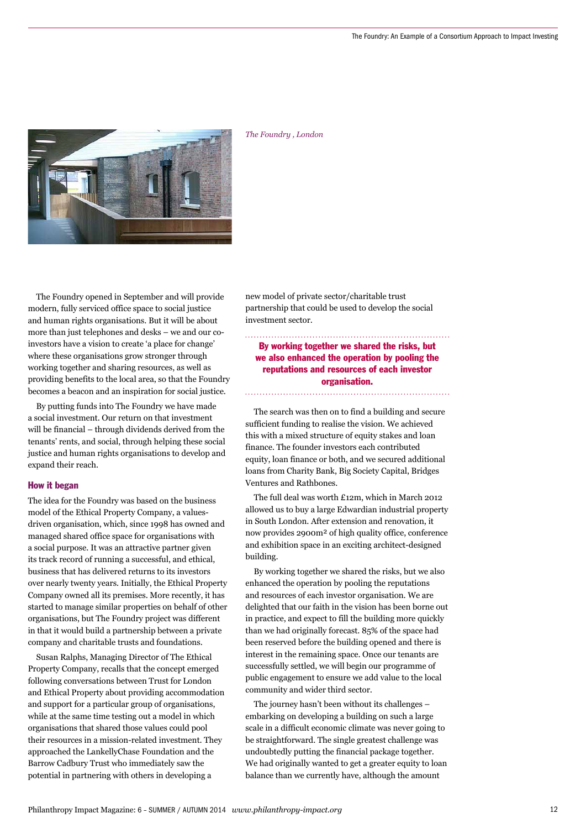

*The Foundry , London*

The Foundry opened in September and will provide modern, fully serviced office space to social justice and human rights organisations. But it will be about more than just telephones and desks – we and our coinvestors have a vision to create 'a place for change' where these organisations grow stronger through working together and sharing resources, as well as providing benefits to the local area, so that the Foundry becomes a beacon and an inspiration for social justice.

By putting funds into The Foundry we have made a social investment. Our return on that investment will be financial – through dividends derived from the tenants' rents, and social, through helping these social justice and human rights organisations to develop and expand their reach.

#### How it began

The idea for the Foundry was based on the business model of the Ethical Property Company, a valuesdriven organisation, which, since 1998 has owned and managed shared office space for organisations with a social purpose. It was an attractive partner given its track record of running a successful, and ethical, business that has delivered returns to its investors over nearly twenty years. Initially, the Ethical Property Company owned all its premises. More recently, it has started to manage similar properties on behalf of other organisations, but The Foundry project was different in that it would build a partnership between a private company and charitable trusts and foundations.

Susan Ralphs, Managing Director of The Ethical Property Company, recalls that the concept emerged following conversations between Trust for London and Ethical Property about providing accommodation and support for a particular group of organisations, while at the same time testing out a model in which organisations that shared those values could pool their resources in a mission-related investment. They approached the LankellyChase Foundation and the Barrow Cadbury Trust who immediately saw the potential in partnering with others in developing a

new model of private sector/charitable trust partnership that could be used to develop the social investment sector.

By working together we shared the risks, but we also enhanced the operation by pooling the reputations and resources of each investor organisation.

### 

The search was then on to find a building and secure sufficient funding to realise the vision. We achieved this with a mixed structure of equity stakes and loan finance. The founder investors each contributed equity, loan finance or both, and we secured additional loans from Charity Bank, Big Society Capital, Bridges Ventures and Rathbones.

The full deal was worth £12m, which in March 2012 allowed us to buy a large Edwardian industrial property in South London. After extension and renovation, it now provides 2900m² of high quality office, conference and exhibition space in an exciting architect-designed building.

By working together we shared the risks, but we also enhanced the operation by pooling the reputations and resources of each investor organisation. We are delighted that our faith in the vision has been borne out in practice, and expect to fill the building more quickly than we had originally forecast. 85% of the space had been reserved before the building opened and there is interest in the remaining space. Once our tenants are successfully settled, we will begin our programme of public engagement to ensure we add value to the local community and wider third sector.

The journey hasn't been without its challenges – embarking on developing a building on such a large scale in a difficult economic climate was never going to be straightforward. The single greatest challenge was undoubtedly putting the financial package together. We had originally wanted to get a greater equity to loan balance than we currently have, although the amount